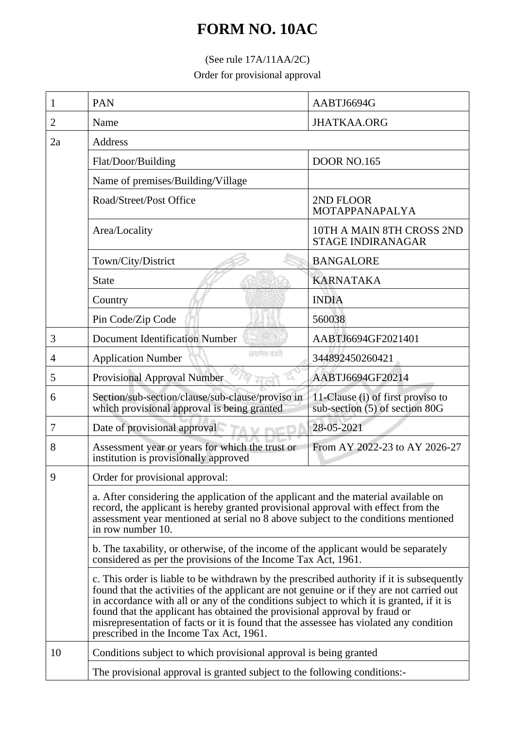## **FORM NO. 10AC**

## (See rule 17A/11AA/2C)

Order for provisional approval

| 1  | <b>PAN</b>                                                                                                                                                                                                                                                                                                                                                                                                                                                                                                                                                                                                                                                                                                                                                                                                                                                                                                                                                                              | AABTJ6694G                                                          |  |
|----|-----------------------------------------------------------------------------------------------------------------------------------------------------------------------------------------------------------------------------------------------------------------------------------------------------------------------------------------------------------------------------------------------------------------------------------------------------------------------------------------------------------------------------------------------------------------------------------------------------------------------------------------------------------------------------------------------------------------------------------------------------------------------------------------------------------------------------------------------------------------------------------------------------------------------------------------------------------------------------------------|---------------------------------------------------------------------|--|
| 2  | Name                                                                                                                                                                                                                                                                                                                                                                                                                                                                                                                                                                                                                                                                                                                                                                                                                                                                                                                                                                                    | <b>JHATKAA.ORG</b>                                                  |  |
| 2a | Address                                                                                                                                                                                                                                                                                                                                                                                                                                                                                                                                                                                                                                                                                                                                                                                                                                                                                                                                                                                 |                                                                     |  |
|    | Flat/Door/Building                                                                                                                                                                                                                                                                                                                                                                                                                                                                                                                                                                                                                                                                                                                                                                                                                                                                                                                                                                      | <b>DOOR NO.165</b>                                                  |  |
|    | Name of premises/Building/Village                                                                                                                                                                                                                                                                                                                                                                                                                                                                                                                                                                                                                                                                                                                                                                                                                                                                                                                                                       |                                                                     |  |
|    | Road/Street/Post Office                                                                                                                                                                                                                                                                                                                                                                                                                                                                                                                                                                                                                                                                                                                                                                                                                                                                                                                                                                 | 2ND FLOOR<br><b>MOTAPPANAPALYA</b>                                  |  |
|    | Area/Locality                                                                                                                                                                                                                                                                                                                                                                                                                                                                                                                                                                                                                                                                                                                                                                                                                                                                                                                                                                           | 10TH A MAIN 8TH CROSS 2ND<br>STAGE INDIRANAGAR                      |  |
|    | Town/City/District                                                                                                                                                                                                                                                                                                                                                                                                                                                                                                                                                                                                                                                                                                                                                                                                                                                                                                                                                                      | <b>BANGALORE</b>                                                    |  |
|    | <b>State</b>                                                                                                                                                                                                                                                                                                                                                                                                                                                                                                                                                                                                                                                                                                                                                                                                                                                                                                                                                                            | <b>KARNATAKA</b>                                                    |  |
|    | Country                                                                                                                                                                                                                                                                                                                                                                                                                                                                                                                                                                                                                                                                                                                                                                                                                                                                                                                                                                                 | <b>INDIA</b>                                                        |  |
|    | Pin Code/Zip Code                                                                                                                                                                                                                                                                                                                                                                                                                                                                                                                                                                                                                                                                                                                                                                                                                                                                                                                                                                       | 560038                                                              |  |
| 3  | <b>Document Identification Number</b>                                                                                                                                                                                                                                                                                                                                                                                                                                                                                                                                                                                                                                                                                                                                                                                                                                                                                                                                                   | AABTJ6694GF2021401                                                  |  |
| 4  | सम्प्रमेश क्याते.<br><b>Application Number</b>                                                                                                                                                                                                                                                                                                                                                                                                                                                                                                                                                                                                                                                                                                                                                                                                                                                                                                                                          | 344892450260421                                                     |  |
| 5  | Provisional Approval Number                                                                                                                                                                                                                                                                                                                                                                                                                                                                                                                                                                                                                                                                                                                                                                                                                                                                                                                                                             | AABTJ6694GF20214                                                    |  |
| 6  | Section/sub-section/clause/sub-clause/proviso in<br>which provisional approval is being granted                                                                                                                                                                                                                                                                                                                                                                                                                                                                                                                                                                                                                                                                                                                                                                                                                                                                                         | 11-Clause (i) of first proviso to<br>sub-section (5) of section 80G |  |
| 7  | Date of provisional approval                                                                                                                                                                                                                                                                                                                                                                                                                                                                                                                                                                                                                                                                                                                                                                                                                                                                                                                                                            | 28-05-2021                                                          |  |
| 8  | Assessment year or years for which the trust or<br>institution is provisionally approved                                                                                                                                                                                                                                                                                                                                                                                                                                                                                                                                                                                                                                                                                                                                                                                                                                                                                                | From AY 2022-23 to AY 2026-27                                       |  |
| 9  | Order for provisional approval:<br>a. After considering the application of the applicant and the material available on<br>record, the applicant is hereby granted provisional approval with effect from the<br>assessment year mentioned at serial no 8 above subject to the conditions mentioned<br>in row number 10.<br>b. The taxability, or otherwise, of the income of the applicant would be separately<br>considered as per the provisions of the Income Tax Act, 1961.<br>c. This order is liable to be withdrawn by the prescribed authority if it is subsequently<br>found that the activities of the applicant are not genuine or if they are not carried out<br>in accordance with all or any of the conditions subject to which it is granted, if it is<br>found that the applicant has obtained the provisional approval by fraud or<br>misrepresentation of facts or it is found that the assessee has violated any condition<br>prescribed in the Income Tax Act, 1961. |                                                                     |  |
|    |                                                                                                                                                                                                                                                                                                                                                                                                                                                                                                                                                                                                                                                                                                                                                                                                                                                                                                                                                                                         |                                                                     |  |
|    |                                                                                                                                                                                                                                                                                                                                                                                                                                                                                                                                                                                                                                                                                                                                                                                                                                                                                                                                                                                         |                                                                     |  |
|    |                                                                                                                                                                                                                                                                                                                                                                                                                                                                                                                                                                                                                                                                                                                                                                                                                                                                                                                                                                                         |                                                                     |  |
| 10 | Conditions subject to which provisional approval is being granted                                                                                                                                                                                                                                                                                                                                                                                                                                                                                                                                                                                                                                                                                                                                                                                                                                                                                                                       |                                                                     |  |
|    | The provisional approval is granted subject to the following conditions:-                                                                                                                                                                                                                                                                                                                                                                                                                                                                                                                                                                                                                                                                                                                                                                                                                                                                                                               |                                                                     |  |